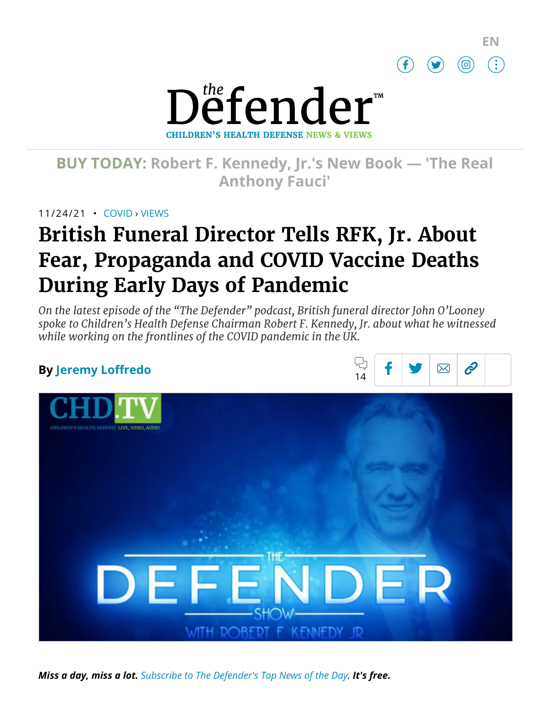



# **BUY TODAY: Robert F. [Kennedy,](https://www.amazon.com/Real-Anthony-Fauci-Democracy-Childrens/dp/1510766804) Jr.'s New Book — 'The Real Anthony Fauci'**

11/24/21 • [COVID](https://childrenshealthdefense.org/defender_category/covid) › [VIEWS](https://childrenshealthdefense.org/defender-views)

# **British Funeral Director Tells RFK, Jr. About Fear, Propaganda and COVID Vaccine Deaths During Early Days of Pandemic**

*On the latest episode of the "The Defender" podcast, British funeral director John O'Looney spoke to Children's Health Defense Chairman Robert F. Kennedy, Jr. about what he witnessed while working on the frontlines of the COVID pandemic in the UK.*

## **By [Jeremy Loffredo](https://childrenshealthdefense.org/authors/jeremy-loffredo/)**





*Miss a day, miss a lot. Subscribe to [The Defender's](https://childrenshealthdefense.org/about-us/sign-up/?utm_source=top_of_article&utm_medium=the_defender&utm_campaign=sign_ups) Top News of the Day. It's free.*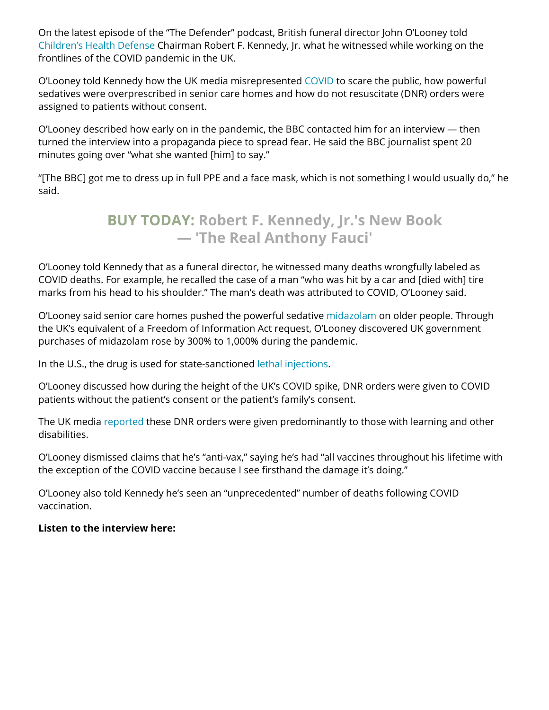On the latest episode of the "The Defender" podcast, British funeral director John O'Looney told [Children's](https://childrenshealthdefense.org/) Health Defense Chairman Robert F. Kennedy, Jr. what he witnessed while working on the frontlines of the COVID pandemic in the UK.

O'Looney told Kennedy how the UK media misrepresented [COVID](https://childrenshealthdefense.org/defender_category/covid/) to scare the public, how powerful sedatives were overprescribed in senior care homes and how do not resuscitate (DNR) orders were assigned to patients without consent.

O'Looney described how early on in the pandemic, the BBC contacted him for an interview — then turned the interview into a propaganda piece to spread fear. He said the BBC journalist spent 20 minutes going over "what she wanted [him] to say."

"[The BBC] got me to dress up in full PPE and a face mask, which is not something I would usually do," he said.

# **BUY TODAY: Robert F. Kennedy, Jr.'s New Book — 'The [Real Anthony](https://www.amazon.com/Real-Anthony-Fauci-Democracy-Childrens/dp/1510766804) Fauci'**

O'Looney told Kennedy that as a funeral director, he witnessed many deaths wrongfully labeled as COVID deaths. For example, he recalled the case of a man "who was hit by a car and [died with] tire marks from his head to his shoulder." The man's death was attributed to COVID, O'Looney said.

O'Looney said senior care homes pushed the powerful sedative [midazolam](https://www.ncbi.nlm.nih.gov/pmc/articles/PMC7065504/) on older people. Through the UK's equivalent of a Freedom of Information Act request, O'Looney discovered UK government purchases of midazolam rose by 300% to 1,000% during the pandemic.

In the U.S., the drug is used for state-sanctioned lethal [injections.](https://deathpenaltyinfo.org/executions/lethal-injection/overview-of-lethal-injection-protocols)

O'Looney discussed how during the height of the UK's COVID spike, DNR orders were given to COVID patients without the patient's consent or the patient's family's consent.

The UK media [reported](https://www.theguardian.com/world/2021/feb/13/new-do-not-resuscitate-orders-imposed-on-covid-19-patients-with-learning-difficulties) these DNR orders were given predominantly to those with learning and other disabilities.

O'Looney dismissed claims that he's "anti-vax," saying he's had "all vaccines throughout his lifetime with the exception of the COVID vaccine because I see firsthand the damage it's doing."

O'Looney also told Kennedy he's seen an "unprecedented" number of deaths following COVID vaccination.

#### **Listen to the interview here:**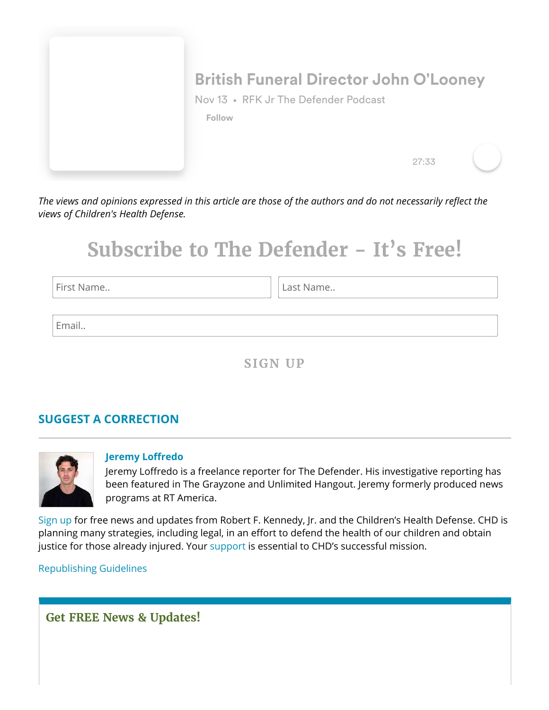

*The views and opinions expressed in this article are those of the authors and do not necessarily reflect the views of Children's Health Defense.*

# **Subscribe to The Defender - It's Free!**

First Name.. **Last Name.. Last Name..** 

Email..

**SIGN UP**

## **SUGGEST A [CORRECTION](https://childrenshealthdefense.org/suggest-a-correction/)**



#### **[Jeremy Loffredo](https://childrenshealthdefense.org/authors/jeremy-loffredo/)**

Jeremy Loffredo is a freelance reporter for The Defender. His investigative reporting has been featured in The Grayzone and Unlimited Hangout. Jeremy formerly produced news programs at RT America.

[Sign](https://childrenshealthdefense.org/about-us/sign-up/) up for free news and updates from Robert F. Kennedy, Jr. and the Children's Health Defense. CHD is planning many strategies, including legal, in an effort to defend the health of our children and obtain justice for those already injured. Your [support](https://childrenshealthdefense.org/about-us/donate/) is essential to CHD's successful mission.

[Republishing](https://childrenshealthdefense.org/uncategorized/re-publishing-guidelines/) Guidelines

## **Get FREE News & Updates!**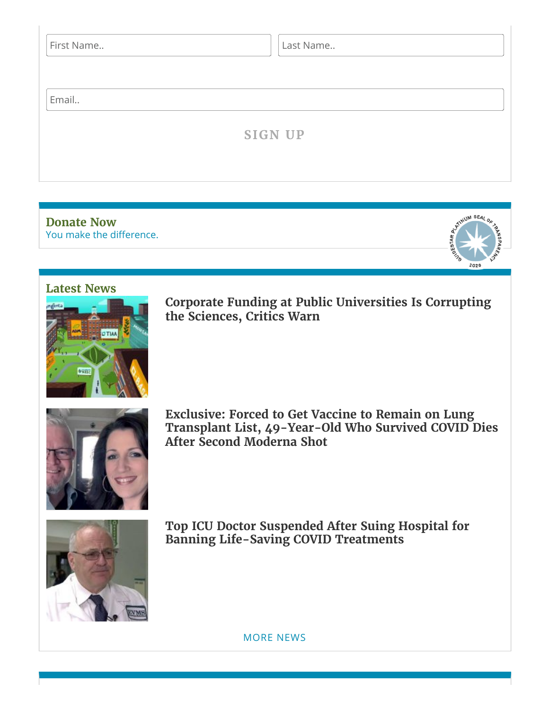| First Name | Last Name      |  |
|------------|----------------|--|
| Email      |                |  |
|            | <b>SIGN UP</b> |  |
|            |                |  |

You make the [difference.](https://childrenshealthdefense.org/about-us/donate) **[Donate](https://childrenshealthdefense.org/about-us/donate) Now**

### **[Latest](https://childrenshealthdefense.org/defender-news) News**



**Corporate Funding at Public [Universities Is Corrupting](https://childrenshealthdefense.org/defender/corporate-funding-public-universities-agribusiness/) the Sciences, Critics Warn**

M SEA

2020



**Exclusive: Forced to Get Vaccine to Remain on Lung Transplant List, [49-Year-Old](https://childrenshealthdefense.org/defender/bobby-amy-bolin-lung-transplant-dies-moderna-covid-vaccine/) Who Survived COVID Dies After Second Moderna Shot**



**Top ICU Doctor Suspended After Suing Hospital for Banning [Life-Saving](https://childrenshealthdefense.org/defender/paul-marik-lawsuit-hospital-remdesivir-ban-life-saving-drugs/) COVID Treatments**

[MORE](https://childrenshealthdefense.org/defender-news) NEWS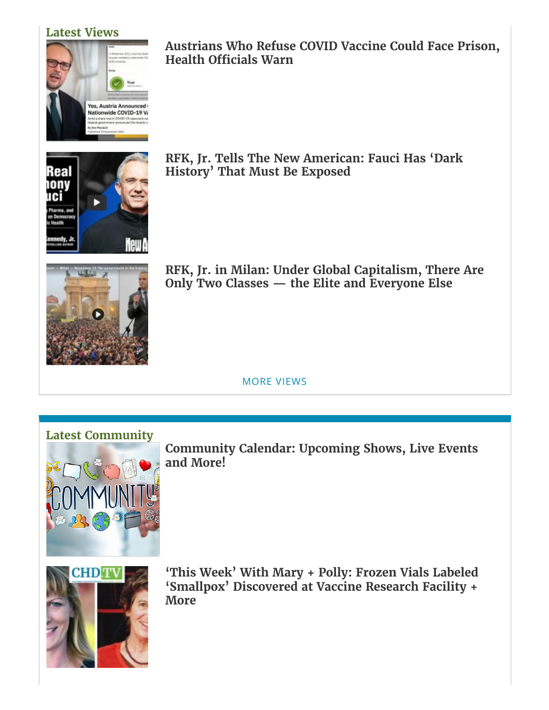### **[Latest](https://childrenshealthdefense.org/defender-views) Views**



**[Austrians Who](https://childrenshealthdefense.org/defender/kim-iversen-austrians-covid-vaccine-mandate/) Refuse COVID Vaccine Could Face Prison, Health Officials Warn**



**RFK, Jr. Tells The New [American:](https://childrenshealthdefense.org/defender/rfk-jr-alex-newman-fauci-gates-covid/) Fauci Has 'Dark History' That Must Be Exposed**



**RFK, Jr. in Milan: Under Global [Capitalism,](https://childrenshealthdefense.org/defender/rfk-jr-milan-global-capitalism-billionaires-monopolies/) There Are Only Two Classes — the Elite and Everyone Else**

MORE [VIEWS](https://childrenshealthdefense.org/defender-views)

## **Latest [Community](https://childrenshealthdefense.org/community)**



**[Community](https://live.childrenshealthdefense.org/community/community-calendar) Calendar: Upcoming Shows, Live Events and More!**



**'This Week' With Mary + Polly: Frozen [Vials Labeled](https://childrenshealthdefense.org/defender/chd-tv-mary-polly-bill-gates-smallpox-covid-vaccines-children/) 'Smallpox' Discovered at Vaccine Research Facility + More**